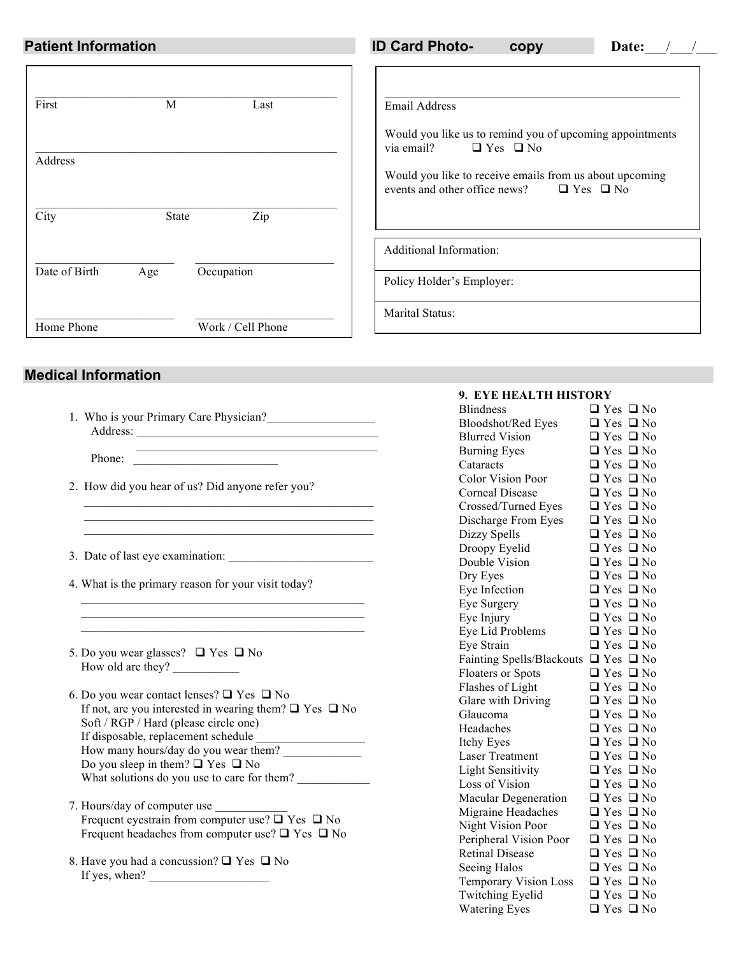| <b>Patient Information</b> |                     | <b>ID Card Photo-</b><br>Date:<br>copy                                                                           |  |  |  |  |  |
|----------------------------|---------------------|------------------------------------------------------------------------------------------------------------------|--|--|--|--|--|
| First                      | M<br>Last           | Email Address<br>Would you like us to remind you of upcoming appointments<br>via email?<br>$\Box$ Yes $\Box$ No  |  |  |  |  |  |
| Address<br>City            | Zip<br><b>State</b> | Would you like to receive emails from us about upcoming<br>events and other office news?<br>$\Box$ Yes $\Box$ No |  |  |  |  |  |
|                            |                     | Additional Information:                                                                                          |  |  |  |  |  |
| Date of Birth              | Occupation<br>Age   | Policy Holder's Employer:                                                                                        |  |  |  |  |  |
| Home Phone                 | Work / Cell Phone   | Marital Status:                                                                                                  |  |  |  |  |  |

# **Medical Information**

|          | 1. Who is your Primary Care Physician? |  |
|----------|----------------------------------------|--|
| Address: |                                        |  |

Phone:

- 2. How did you hear of us? Did anyone refer you?
- 3. Date of last eye examination: \_\_\_\_\_\_\_\_\_\_\_\_\_\_\_\_\_\_\_\_\_\_\_\_

4. What is the primary reason for your visit today?

 $\mathcal{L}_\text{max}$  and the contract of the contract of the contract of the contract of the contract of the contract of the contract of the contract of the contract of the contract of the contract of the contract of the contrac \_\_\_\_\_\_\_\_\_\_\_\_\_\_\_\_\_\_\_\_\_\_\_\_\_\_\_\_\_\_\_\_\_\_\_\_\_\_\_\_\_\_\_\_\_\_\_  $\mathcal{L}_\text{max}$  and  $\mathcal{L}_\text{max}$  and  $\mathcal{L}_\text{max}$  and  $\mathcal{L}_\text{max}$  and  $\mathcal{L}_\text{max}$ 

- 5. Do you wear glasses?  $\Box$  Yes  $\Box$  No How old are they?
- 6. Do you wear contact lenses?  $\Box$  Yes  $\Box$  No If not, are you interested in wearing them?  $\Box$  Yes  $\Box$  No Soft / RGP / Hard (please circle one) If disposable, replacement schedule How many hours/day do you wear them? Do you sleep in them?  $\Box$  Yes  $\Box$  No What solutions do you use to care for them?
- 7. Hours/day of computer use Frequent eyestrain from computer use?  $\overline{Q}$  Yes  $\overline{Q}$  No Frequent headaches from computer use?  $\Box$  Yes  $\Box$  No
- 8. Have you had a concussion?  $\Box$  Yes  $\Box$  No If yes, when?

## **9. EYE HEALTH HISTORY**

| ев шваети швтокі                 |                      |              |
|----------------------------------|----------------------|--------------|
| <b>Blindness</b>                 | $\Box$ Yes $\Box$ No |              |
| Bloodshot/Red Eyes               | $\Box$ Yes $\Box$ No |              |
| <b>Blurred Vision</b>            | $\Box$ Yes $\Box$ No |              |
| <b>Burning Eyes</b>              | $\Box$ Yes $\Box$ No |              |
| Cataracts                        | $\Box$ Yes $\Box$ No |              |
| <b>Color Vision Poor</b>         | $\Box$ Yes           | $\square$ No |
| <b>Corneal Disease</b>           | $\Box$ Yes $\Box$ No |              |
| Crossed/Turned Eyes              | $\Box$ Yes           | $\square$ No |
| Discharge From Eyes              | $\Box$ Yes           | $\square$ No |
| Dizzy Spells                     | $\square$ Yes        | $\square$ No |
| Droopy Eyelid                    | $\square$ Yes        | $\Box$ No    |
| Double Vision                    | $\Box$ Yes           | $\square$ No |
| Dry Eyes                         | $\Box$ Yes           | $\square$ No |
| Eye Infection                    | $\Box$ Yes           | $\square$ No |
| Eye Surgery                      | $\Box$ Yes           | $\square$ No |
| Eye Injury                       | $\Box$ Yes           | $\square$ No |
| Eye Lid Problems                 | $\square$ Yes        | $\square$ No |
| Eye Strain                       | $\square$ Yes        | $\square$ No |
| <b>Fainting Spells/Blackouts</b> | $\Box$ Yes           | $\square$ No |
| <b>Floaters or Spots</b>         | $\Box$ Yes           | $\square$ No |
| Flashes of Light                 | $\Box$ Yes           | $\square$ No |
| Glare with Driving               | $\Box$ Yes           | $\square$ No |
| Glaucoma                         | $\square$ Yes        | $\square$ No |
| Headaches                        | $\Box$ Yes           | $\square$ No |
| Itchy Eyes                       | $\Box$ Yes           | $\square$ No |
| <b>Laser Treatment</b>           | $\Box$ Yes           | $\square$ No |
| <b>Light Sensitivity</b>         | $\square$ Yes        | $\square$ No |
| Loss of Vision                   | $\square$ Yes        | $\square$ No |
| <b>Macular Degeneration</b>      | $\Box$ Yes           | $\Box$ No    |
| Migraine Headaches               | $\Box$ Yes           | $\square$ No |
| <b>Night Vision Poor</b>         | $\Box$ Yes           | $\square$ No |
| Peripheral Vision Poor           | $\Box$ Yes           | $\square$ No |
| <b>Retinal Disease</b>           | $\Box$ Yes           | $\square$ No |
| Seeing Halos                     | $\Box$ Yes $\Box$ No |              |
| <b>Temporary Vision Loss</b>     | $\Box$ Yes $\Box$ No |              |
| <b>Twitching Eyelid</b>          | $\Box$ Yes $\Box$ No |              |
| <b>Watering Eyes</b>             | $\Box$ Yes           | $\square$ No |